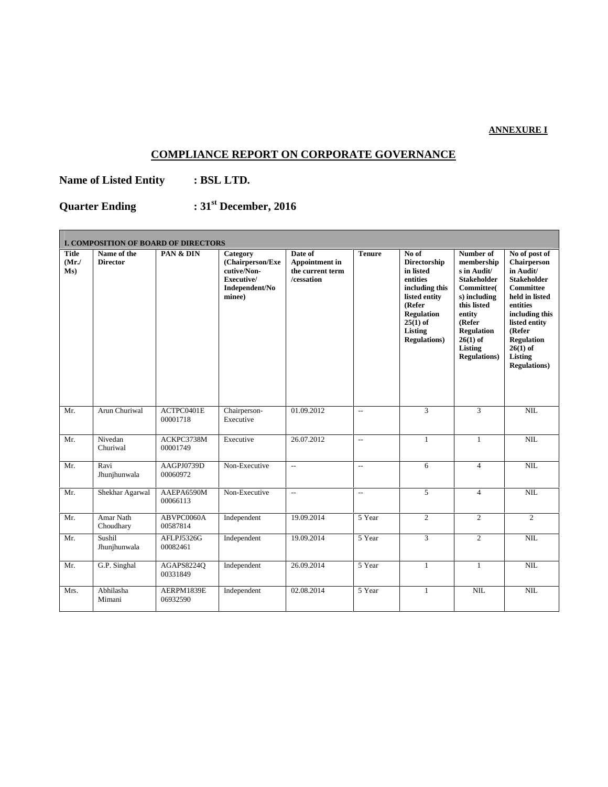## **ANNEXURE I**

 $\overline{\phantom{0}}$ 

## **COMPLIANCE REPORT ON CORPORATE GOVERNANCE**

**Name of Listed Entity : BSL LTD.**

 $\overline{\phantom{a}}$ 

**Quarter Ending : 31 st December, 2016**

|                             | <b>I. COMPOSITION OF BOARD OF DIRECTORS</b> |                        |                                                                                       |                                                                    |                          |                                                                                                                                                                          |                                                                                                                                                                                                           |                                                                                                                                                                                                                                      |
|-----------------------------|---------------------------------------------|------------------------|---------------------------------------------------------------------------------------|--------------------------------------------------------------------|--------------------------|--------------------------------------------------------------------------------------------------------------------------------------------------------------------------|-----------------------------------------------------------------------------------------------------------------------------------------------------------------------------------------------------------|--------------------------------------------------------------------------------------------------------------------------------------------------------------------------------------------------------------------------------------|
| <b>Title</b><br>(Mr)<br>Ms) | Name of the<br><b>Director</b>              | PAN & DIN              | Category<br>(Chairperson/Exe<br>cutive/Non-<br>Executive/<br>Independent/No<br>minee) | Date of<br><b>Appointment in</b><br>the current term<br>/cessation | <b>Tenure</b>            | No of<br><b>Directorship</b><br>in listed<br>entities<br>including this<br>listed entity<br>(Refer<br><b>Regulation</b><br>$25(1)$ of<br>Listing<br><b>Regulations</b> ) | Number of<br>membership<br>s in Audit/<br><b>Stakeholder</b><br><b>Committee</b><br>s) including<br>this listed<br>entity<br>(Refer<br><b>Regulation</b><br>$26(1)$ of<br>Listing<br><b>Regulations</b> ) | No of post of<br>Chairperson<br>in Audit/<br><b>Stakeholder</b><br><b>Committee</b><br>held in listed<br>entities<br>including this<br>listed entity<br>(Refer<br><b>Regulation</b><br>$26(1)$ of<br>Listing<br><b>Regulations</b> ) |
| Mr.                         | Arun Churiwal                               | ACTPC0401E<br>00001718 | Chairperson-<br>Executive                                                             | 01.09.2012                                                         | $\overline{a}$           | 3                                                                                                                                                                        | 3                                                                                                                                                                                                         | NIL                                                                                                                                                                                                                                  |
| Mr.                         | Nivedan<br>Churiwal                         | ACKPC3738M<br>00001749 | Executive                                                                             | 26.07.2012                                                         | $\overline{a}$           | $\mathbf{1}$                                                                                                                                                             | $\mathbf{1}$                                                                                                                                                                                              | NIL                                                                                                                                                                                                                                  |
| Mr.                         | Ravi<br>Jhunjhunwala                        | AAGPJ0739D<br>00060972 | Non-Executive                                                                         | $\overline{a}$                                                     | $\overline{\phantom{a}}$ | 6                                                                                                                                                                        | $\overline{4}$                                                                                                                                                                                            | NIL                                                                                                                                                                                                                                  |
| Mr.                         | Shekhar Agarwal                             | AAEPA6590M<br>00066113 | Non-Executive                                                                         | $\overline{\phantom{a}}$                                           | $\overline{\phantom{a}}$ | 5                                                                                                                                                                        | $\overline{4}$                                                                                                                                                                                            | NIL                                                                                                                                                                                                                                  |
| Mr.                         | Amar Nath<br>Choudhary                      | ABVPC0060A<br>00587814 | Independent                                                                           | 19.09.2014                                                         | 5 Year                   | $\overline{2}$                                                                                                                                                           | $\overline{2}$                                                                                                                                                                                            | $\overline{2}$                                                                                                                                                                                                                       |
| Mr.                         | Sushil<br>Jhunjhunwala                      | AFLPJ5326G<br>00082461 | Independent                                                                           | 19.09.2014                                                         | 5 Year                   | 3                                                                                                                                                                        | 2                                                                                                                                                                                                         | NIL                                                                                                                                                                                                                                  |
| Mr.                         | G.P. Singhal                                | AGAPS8224Q<br>00331849 | Independent                                                                           | 26.09.2014                                                         | 5 Year                   | $\mathbf{1}$                                                                                                                                                             | $\mathbf{1}$                                                                                                                                                                                              | NIL                                                                                                                                                                                                                                  |
| Mrs.                        | Abhilasha<br>Mimani                         | AERPM1839E<br>06932590 | Independent                                                                           | 02.08.2014                                                         | 5 Year                   | $\mathbf{1}$                                                                                                                                                             | NIL                                                                                                                                                                                                       | NIL                                                                                                                                                                                                                                  |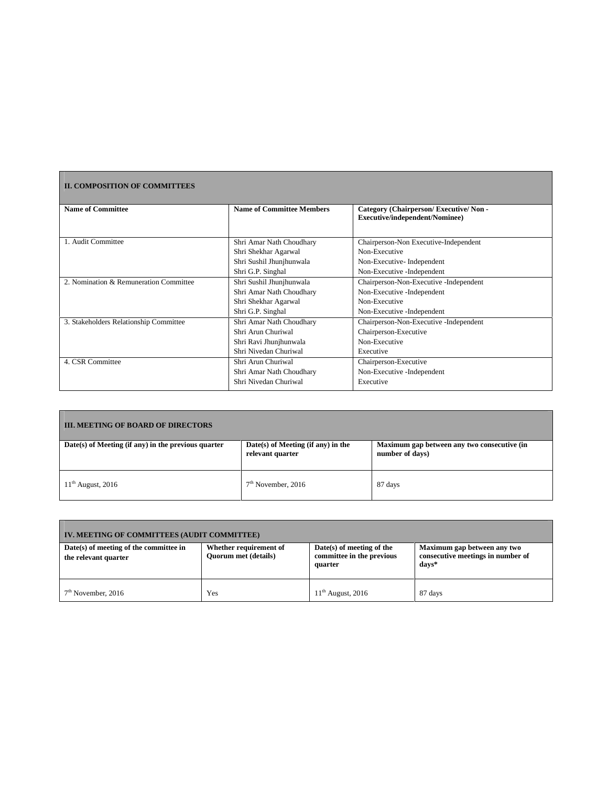## **II. COMPOSITION OF COMMITTEES**

| <b>Name of Committee</b>               | <b>Name of Committee Members</b> | Category (Chairperson/Executive/Non-   |  |
|----------------------------------------|----------------------------------|----------------------------------------|--|
|                                        |                                  | <b>Executive/independent/Nominee)</b>  |  |
|                                        |                                  |                                        |  |
| 1. Audit Committee                     | Shri Amar Nath Choudhary         | Chairperson-Non Executive-Independent  |  |
|                                        | Shri Shekhar Agarwal             | Non-Executive                          |  |
|                                        | Shri Sushil Jhunjhunwala         | Non-Executive-Independent              |  |
|                                        | Shri G.P. Singhal                | Non-Executive -Independent             |  |
| 2. Nomination & Remuneration Committee | Shri Sushil Jhunjhunwala         | Chairperson-Non-Executive -Independent |  |
|                                        | Shri Amar Nath Choudhary         | Non-Executive -Independent             |  |
|                                        | Shri Shekhar Agarwal             | Non-Executive                          |  |
|                                        | Shri G.P. Singhal                | Non-Executive -Independent             |  |
| 3. Stakeholders Relationship Committee | Shri Amar Nath Choudhary         | Chairperson-Non-Executive -Independent |  |
|                                        | Shri Arun Churiwal               | Chairperson-Executive                  |  |
|                                        | Shri Ravi Jhunjhunwala           | Non-Executive                          |  |
|                                        | Shri Nivedan Churiwal            | Executive                              |  |
| 4. CSR Committee                       | Shri Arun Churiwal               | Chairperson-Executive                  |  |
|                                        | Shri Amar Nath Choudhary         | Non-Executive -Independent             |  |
|                                        | Shri Nivedan Churiwal            | Executive                              |  |
|                                        |                                  |                                        |  |

| <b>III. MEETING OF BOARD OF DIRECTORS</b>           |                                                          |                                                                |  |  |  |
|-----------------------------------------------------|----------------------------------------------------------|----------------------------------------------------------------|--|--|--|
| Date(s) of Meeting (if any) in the previous quarter | $Date(s)$ of Meeting (if any) in the<br>relevant quarter | Maximum gap between any two consecutive (in<br>number of days) |  |  |  |
| $11th$ August, 2016                                 | $7th$ November, 2016                                     | 87 days                                                        |  |  |  |

| IV. MEETING OF COMMITTEES (AUDIT COMMITTEE)                    |                                                       |                                                                   |                                                                           |  |  |
|----------------------------------------------------------------|-------------------------------------------------------|-------------------------------------------------------------------|---------------------------------------------------------------------------|--|--|
| Date(s) of meeting of the committee in<br>the relevant quarter | Whether requirement of<br><b>Ouorum met (details)</b> | Date(s) of meeting of the<br>committee in the previous<br>quarter | Maximum gap between any two<br>consecutive meetings in number of<br>days* |  |  |
| $7th$ November, 2016                                           | Yes                                                   | $11th$ August, 2016                                               | 87 days                                                                   |  |  |